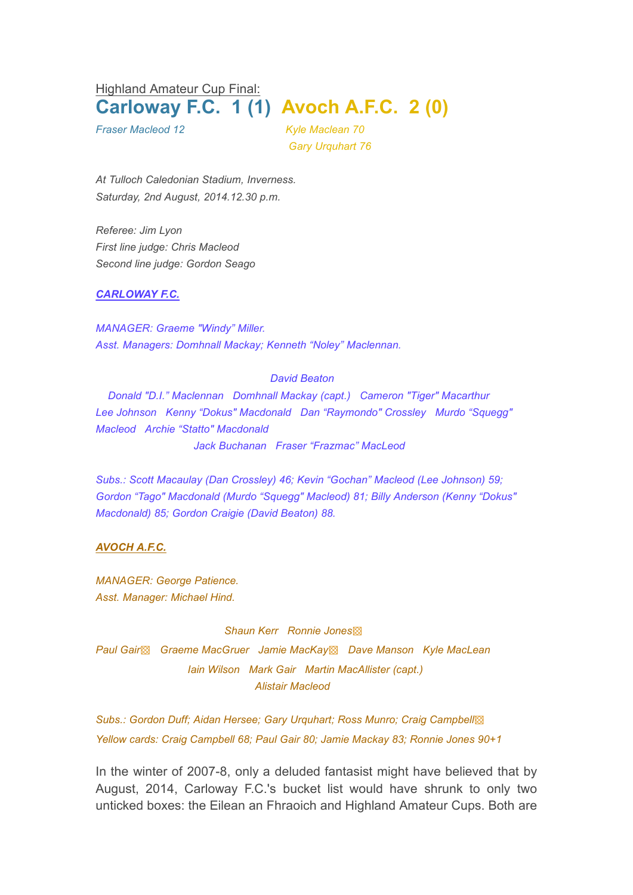Highland Amateur Cup Final: **Carloway F.C. 1 (1) Avoch A.F.C. 2 (0)**

*Fraser Macleod 12 Kyle Maclean 70 Gary Urquhart 76*

*At Tulloch Caledonian Stadium, Inverness. Saturday, 2nd August, 2014.12.30 p.m.*

*Referee: Jim Lyon First line judge: Chris Macleod Second line judge: Gordon Seago*

### *CARLOWAY F.C.*

*MANAGER: Graeme "Windy" Miller. Asst. Managers: Domhnall Mackay; Kenneth "Noley" Maclennan.*

#### *David Beaton*

*Donald "D.I." Maclennan Domhnall Mackay (capt.) Cameron "Tiger" Macarthur Lee Johnson Kenny "Dokus" Macdonald Dan "Raymondo" Crossley Murdo "Squegg" Macleod Archie "Statto" Macdonald Jack Buchanan Fraser "Frazmac" MacLeod*

*Subs.: Scott Macaulay (Dan Crossley) 46; Kevin "Gochan" Macleod (Lee Johnson) 59; Gordon "Tago" Macdonald (Murdo "Squegg" Macleod) 81; Billy Anderson (Kenny "Dokus" Macdonald) 85; Gordon Craigie (David Beaton) 88.*

### *AVOCH A.F.C.*

*MANAGER: George Patience. Asst. Manager: Michael Hind.*

*Shaun Kerr Ronnie Jones*▩ *Paul Gair*▩ *Graeme MacGruer Jamie MacKay*▩ *Dave Manson Kyle MacLean Iain Wilson Mark Gair Martin MacAllister (capt.) Alistair Macleod*

*Subs.: Gordon Duff; Aidan Hersee; Gary Urquhart; Ross Munro; Craig Campbell*▩ *Yellow cards: Craig Campbell 68; Paul Gair 80; Jamie Mackay 83; Ronnie Jones 90+1*

In the winter of 2007-8, only a deluded fantasist might have believed that by August, 2014, Carloway F.C.'s bucket list would have shrunk to only two unticked boxes: the Eilean an Fhraoich and Highland Amateur Cups. Both are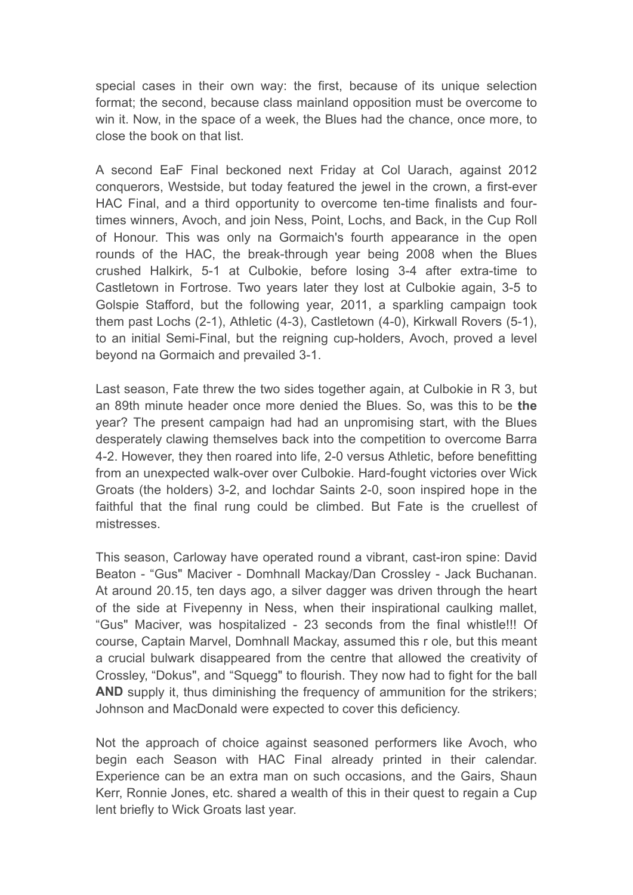special cases in their own way: the first, because of its unique selection format; the second, because class mainland opposition must be overcome to win it. Now, in the space of a week, the Blues had the chance, once more, to close the book on that list.

A second EaF Final beckoned next Friday at Col Uarach, against 2012 conquerors, Westside, but today featured the jewel in the crown, a first-ever HAC Final, and a third opportunity to overcome ten-time finalists and fourtimes winners, Avoch, and join Ness, Point, Lochs, and Back, in the Cup Roll of Honour. This was only na Gormaich's fourth appearance in the open rounds of the HAC, the break-through year being 2008 when the Blues crushed Halkirk, 5-1 at Culbokie, before losing 3-4 after extra-time to Castletown in Fortrose. Two years later they lost at Culbokie again, 3-5 to Golspie Stafford, but the following year, 2011, a sparkling campaign took them past Lochs (2-1), Athletic (4-3), Castletown (4-0), Kirkwall Rovers (5-1), to an initial Semi-Final, but the reigning cup-holders, Avoch, proved a level beyond na Gormaich and prevailed 3-1.

Last season, Fate threw the two sides together again, at Culbokie in R 3, but an 89th minute header once more denied the Blues. So, was this to be **the** year? The present campaign had had an unpromising start, with the Blues desperately clawing themselves back into the competition to overcome Barra 4-2. However, they then roared into life, 2-0 versus Athletic, before benefitting from an unexpected walk-over over Culbokie. Hard-fought victories over Wick Groats (the holders) 3-2, and Iochdar Saints 2-0, soon inspired hope in the faithful that the final rung could be climbed. But Fate is the cruellest of mistresses.

This season, Carloway have operated round a vibrant, cast-iron spine: David Beaton - "Gus" Maciver - Domhnall Mackay/Dan Crossley - Jack Buchanan. At around 20.15, ten days ago, a silver dagger was driven through the heart of the side at Fivepenny in Ness, when their inspirational caulking mallet, "Gus" Maciver, was hospitalized - 23 seconds from the final whistle!!! Of course, Captain Marvel, Domhnall Mackay, assumed this r ole, but this meant a crucial bulwark disappeared from the centre that allowed the creativity of Crossley, "Dokus", and "Squegg" to flourish. They now had to fight for the ball **AND** supply it, thus diminishing the frequency of ammunition for the strikers; Johnson and MacDonald were expected to cover this deficiency.

Not the approach of choice against seasoned performers like Avoch, who begin each Season with HAC Final already printed in their calendar. Experience can be an extra man on such occasions, and the Gairs, Shaun Kerr, Ronnie Jones, etc. shared a wealth of this in their quest to regain a Cup lent briefly to Wick Groats last year.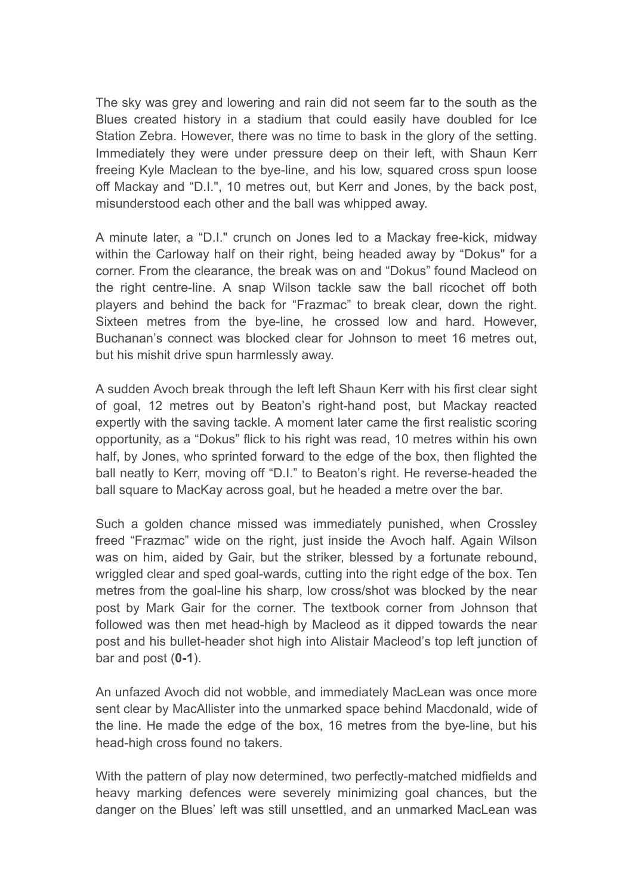The sky was grey and lowering and rain did not seem far to the south as the Blues created history in a stadium that could easily have doubled for Ice Station Zebra. However, there was no time to bask in the glory of the setting. Immediately they were under pressure deep on their left, with Shaun Kerr freeing Kyle Maclean to the bye-line, and his low, squared cross spun loose off Mackay and "D.I.", 10 metres out, but Kerr and Jones, by the back post, misunderstood each other and the ball was whipped away.

A minute later, a "D.I." crunch on Jones led to a Mackay free-kick, midway within the Carloway half on their right, being headed away by "Dokus" for a corner. From the clearance, the break was on and "Dokus" found Macleod on the right centre-line. A snap Wilson tackle saw the ball ricochet off both players and behind the back for "Frazmac" to break clear, down the right. Sixteen metres from the bye-line, he crossed low and hard. However, Buchanan's connect was blocked clear for Johnson to meet 16 metres out, but his mishit drive spun harmlessly away.

A sudden Avoch break through the left left Shaun Kerr with his first clear sight of goal, 12 metres out by Beaton's right-hand post, but Mackay reacted expertly with the saving tackle. A moment later came the first realistic scoring opportunity, as a "Dokus" flick to his right was read, 10 metres within his own half, by Jones, who sprinted forward to the edge of the box, then flighted the ball neatly to Kerr, moving off "D.I." to Beaton's right. He reverse-headed the ball square to MacKay across goal, but he headed a metre over the bar.

Such a golden chance missed was immediately punished, when Crossley freed "Frazmac" wide on the right, just inside the Avoch half. Again Wilson was on him, aided by Gair, but the striker, blessed by a fortunate rebound, wriggled clear and sped goal-wards, cutting into the right edge of the box. Ten metres from the goal-line his sharp, low cross/shot was blocked by the near post by Mark Gair for the corner. The textbook corner from Johnson that followed was then met head-high by Macleod as it dipped towards the near post and his bullet-header shot high into Alistair Macleod's top left junction of bar and post (**0-1**).

An unfazed Avoch did not wobble, and immediately MacLean was once more sent clear by MacAllister into the unmarked space behind Macdonald, wide of the line. He made the edge of the box, 16 metres from the bye-line, but his head-high cross found no takers.

With the pattern of play now determined, two perfectly-matched midfields and heavy marking defences were severely minimizing goal chances, but the danger on the Blues' left was still unsettled, and an unmarked MacLean was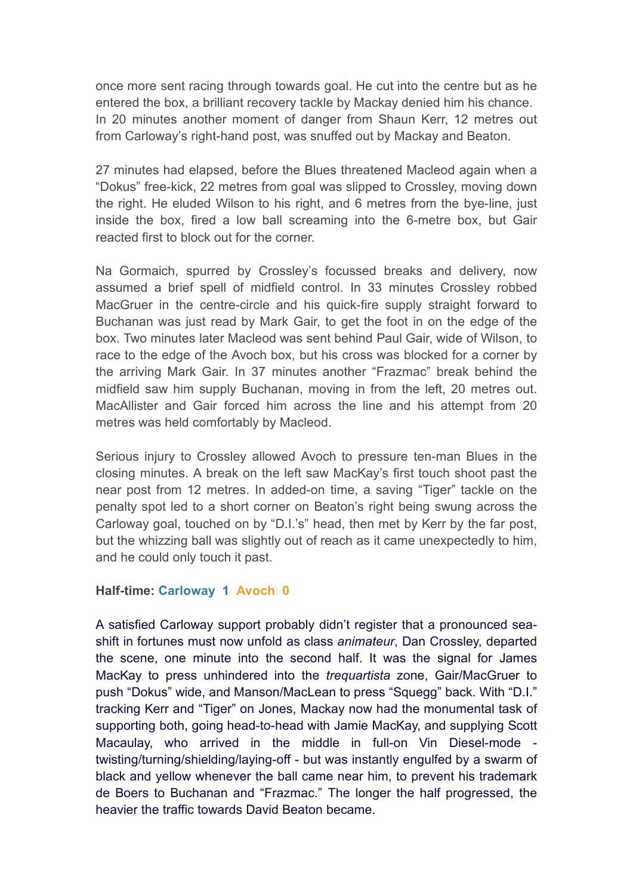once more sent racing through towards goal. He cut into the centre but as he entered the box, a brilliant recovery tackle by Mackay denied him his chance. In 20 minutes another moment of danger from Shaun Kerr, 12 metres out from Carloway's right-hand post, was snuffed out by Mackay and Beaton.

27 minutes had elapsed, before the Blues threatened Macleod again when a "Dokus" free-kick, 22 metres from goal was slipped to Crossley, moving down the right. He eluded Wilson to his right, and 6 metres from the bye-line, just inside the box, fired a low ball screaming into the 6-metre box, but Gair reacted first to block out for the corner.

Na Gormaich, spurred by Crossley's focussed breaks and delivery, now assumed a brief spell of midfield control. In 33 minutes Crossley robbed MacGruer in the centre-circle and his quick-fire supply straight forward to Buchanan was just read by Mark Gair, to get the foot in on the edge of the box. Two minutes later Macleod was sent behind Paul Gair, wide of Wilson, to race to the edge of the Avoch box, but his cross was blocked for a corner by the arriving Mark Gair. In 37 minutes another "Frazmac" break behind the midfield saw him supply Buchanan, moving in from the left, 20 metres out. MacAllister and Gair forced him across the line and his attempt from 20 metres was held comfortably by Macleod.

Serious injury to Crossley allowed Avoch to pressure ten-man Blues in the closing minutes. A break on the left saw MacKay's first touch shoot past the near post from 12 metres. In added-on time, a saving "Tiger" tackle on the penalty spot led to a short corner on Beaton's right being swung across the Carloway goal, touched on by "D.I.'s" head, then met by Kerr by the far post, but the whizzing ball was slightly out of reach as it came unexpectedly to him, and he could only touch it past.

## **Half-time: Carloway 1 Avoch 0**

A satisfied Carloway support probably didn't register that a pronounced seashift in fortunes must now unfold as class *animateur*, Dan Crossley, departed the scene, one minute into the second half. It was the signal for James MacKay to press unhindered into the *trequartista* zone, Gair/MacGruer to push "Dokus" wide, and Manson/MacLean to press "Squegg" back. With "D.I." tracking Kerr and "Tiger" on Jones, Mackay now had the monumental task of supporting both, going head-to-head with Jamie MacKay, and supplying Scott Macaulay, who arrived in the middle in full-on Vin Diesel-mode twisting/turning/shielding/laying-off - but was instantly engulfed by a swarm of black and yellow whenever the ball came near him, to prevent his trademark de Boers to Buchanan and "Frazmac." The longer the half progressed, the heavier the traffic towards David Beaton became.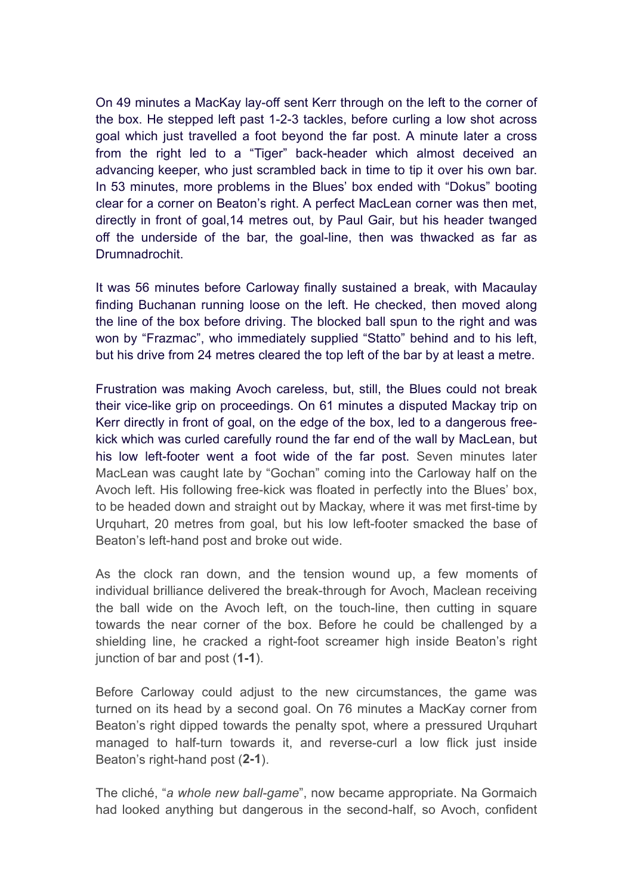On 49 minutes a MacKay lay-off sent Kerr through on the left to the corner of the box. He stepped left past 1-2-3 tackles, before curling a low shot across goal which just travelled a foot beyond the far post. A minute later a cross from the right led to a "Tiger" back-header which almost deceived an advancing keeper, who just scrambled back in time to tip it over his own bar. In 53 minutes, more problems in the Blues' box ended with "Dokus" booting clear for a corner on Beaton's right. A perfect MacLean corner was then met, directly in front of goal,14 metres out, by Paul Gair, but his header twanged off the underside of the bar, the goal-line, then was thwacked as far as Drumnadrochit.

It was 56 minutes before Carloway finally sustained a break, with Macaulay finding Buchanan running loose on the left. He checked, then moved along the line of the box before driving. The blocked ball spun to the right and was won by "Frazmac", who immediately supplied "Statto" behind and to his left, but his drive from 24 metres cleared the top left of the bar by at least a metre.

Frustration was making Avoch careless, but, still, the Blues could not break their vice-like grip on proceedings. On 61 minutes a disputed Mackay trip on Kerr directly in front of goal, on the edge of the box, led to a dangerous freekick which was curled carefully round the far end of the wall by MacLean, but his low left-footer went a foot wide of the far post. Seven minutes later MacLean was caught late by "Gochan" coming into the Carloway half on the Avoch left. His following free-kick was floated in perfectly into the Blues' box, to be headed down and straight out by Mackay, where it was met first-time by Urquhart, 20 metres from goal, but his low left-footer smacked the base of Beaton's left-hand post and broke out wide.

As the clock ran down, and the tension wound up, a few moments of individual brilliance delivered the break-through for Avoch, Maclean receiving the ball wide on the Avoch left, on the touch-line, then cutting in square towards the near corner of the box. Before he could be challenged by a shielding line, he cracked a right-foot screamer high inside Beaton's right junction of bar and post (**1-1**).

Before Carloway could adjust to the new circumstances, the game was turned on its head by a second goal. On 76 minutes a MacKay corner from Beaton's right dipped towards the penalty spot, where a pressured Urquhart managed to half-turn towards it, and reverse-curl a low flick just inside Beaton's right-hand post (**2-1**).

The cliché, "*a whole new ball-game*", now became appropriate. Na Gormaich had looked anything but dangerous in the second-half, so Avoch, confident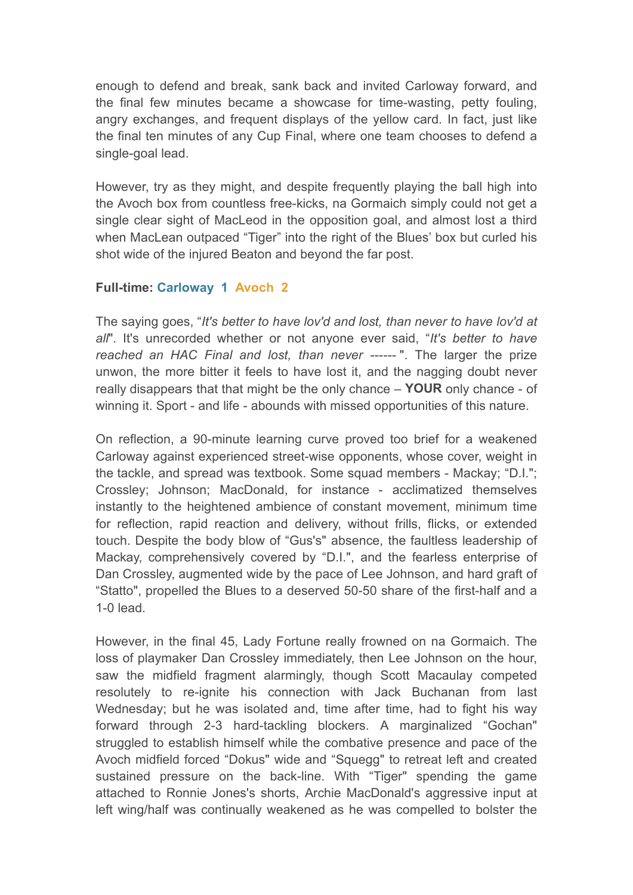enough to defend and break, sank back and invited Carloway forward, and the final few minutes became a showcase for time-wasting, petty fouling, angry exchanges, and frequent displays of the yellow card. In fact, just like the final ten minutes of any Cup Final, where one team chooses to defend a single-goal lead.

However, try as they might, and despite frequently playing the ball high into the Avoch box from countless free-kicks, na Gormaich simply could not get a single clear sight of MacLeod in the opposition goal, and almost lost a third when MacLean outpaced "Tiger" into the right of the Blues' box but curled his shot wide of the injured Beaton and beyond the far post.

# **Full-time: Carloway 1 Avoch 2**

The saying goes, "*It's better to have lov'd and lost, than never to have lov'd at all*". It's unrecorded whether or not anyone ever said, "*It's better to have reached an HAC Final and lost, than never ------* ". The larger the prize unwon, the more bitter it feels to have lost it, and the nagging doubt never really disappears that that might be the only chance – **YOUR** only chance - of winning it. Sport - and life - abounds with missed opportunities of this nature.

On reflection, a 90-minute learning curve proved too brief for a weakened Carloway against experienced street-wise opponents, whose cover, weight in the tackle, and spread was textbook. Some squad members - Mackay; "D.I."; Crossley; Johnson; MacDonald, for instance - acclimatized themselves instantly to the heightened ambience of constant movement, minimum time for reflection, rapid reaction and delivery, without frills, flicks, or extended touch. Despite the body blow of "Gus's" absence, the faultless leadership of Mackay, comprehensively covered by "D.I.", and the fearless enterprise of Dan Crossley, augmented wide by the pace of Lee Johnson, and hard graft of "Statto", propelled the Blues to a deserved 50-50 share of the first-half and a 1-0 lead.

However, in the final 45, Lady Fortune really frowned on na Gormaich. The loss of playmaker Dan Crossley immediately, then Lee Johnson on the hour, saw the midfield fragment alarmingly, though Scott Macaulay competed resolutely to re-ignite his connection with Jack Buchanan from last Wednesday; but he was isolated and, time after time, had to fight his way forward through 2-3 hard-tackling blockers. A marginalized "Gochan" struggled to establish himself while the combative presence and pace of the Avoch midfield forced "Dokus" wide and "Squegg" to retreat left and created sustained pressure on the back-line. With "Tiger" spending the game attached to Ronnie Jones's shorts, Archie MacDonald's aggressive input at left wing/half was continually weakened as he was compelled to bolster the